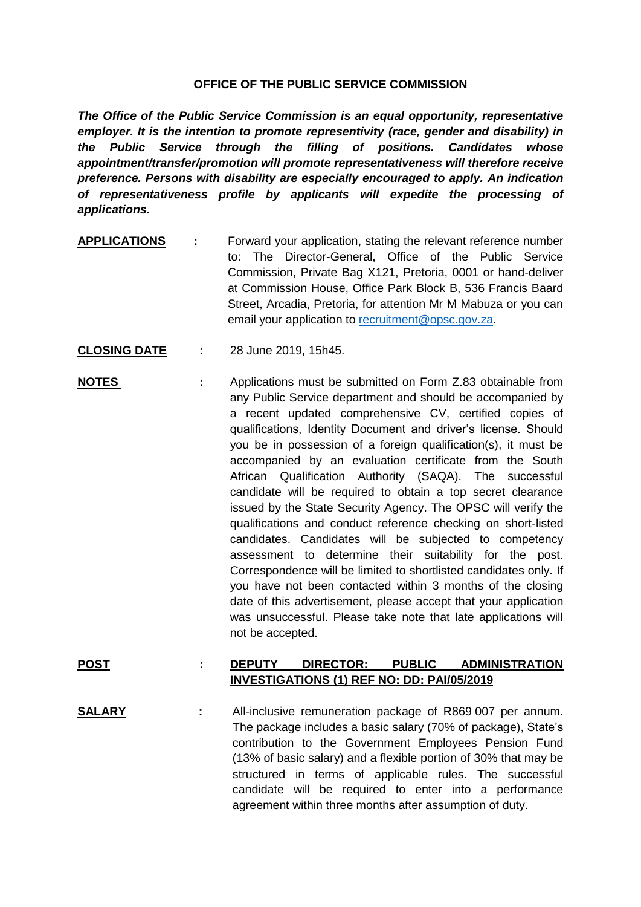## **OFFICE OF THE PUBLIC SERVICE COMMISSION**

*The Office of the Public Service Commission is an equal opportunity, representative employer. It is the intention to promote representivity (race, gender and disability) in the Public Service through the filling of positions. Candidates whose appointment/transfer/promotion will promote representativeness will therefore receive preference. Persons with disability are especially encouraged to apply. An indication of representativeness profile by applicants will expedite the processing of applications.*

- **APPLICATIONS :** Forward your application, stating the relevant reference number to: The Director-General, Office of the Public Service Commission, Private Bag X121, Pretoria, 0001 or hand-deliver at Commission House, Office Park Block B, 536 Francis Baard Street, Arcadia, Pretoria, for attention Mr M Mabuza or you can email your application to [recruitment@opsc.gov.za.](mailto:recruitment@opsc.gov.za)
- **CLOSING DATE :** 28 June 2019, 15h45.
- **NOTES** : Applications must be submitted on Form Z.83 obtainable from any Public Service department and should be accompanied by a recent updated comprehensive CV, certified copies of qualifications, Identity Document and driver's license. Should you be in possession of a foreign qualification(s), it must be accompanied by an evaluation certificate from the South African Qualification Authority (SAQA). The successful candidate will be required to obtain a top secret clearance issued by the State Security Agency. The OPSC will verify the qualifications and conduct reference checking on short-listed candidates. Candidates will be subjected to competency assessment to determine their suitability for the post. Correspondence will be limited to shortlisted candidates only. If you have not been contacted within 3 months of the closing date of this advertisement, please accept that your application was unsuccessful. Please take note that late applications will not be accepted.

## **POST : DEPUTY DIRECTOR: PUBLIC ADMINISTRATION INVESTIGATIONS (1) REF NO: DD: PAI/05/2019**

**SALARY :** All-inclusive remuneration package of R869 007 per annum. The package includes a basic salary (70% of package), State's contribution to the Government Employees Pension Fund (13% of basic salary) and a flexible portion of 30% that may be structured in terms of applicable rules. The successful candidate will be required to enter into a performance agreement within three months after assumption of duty.